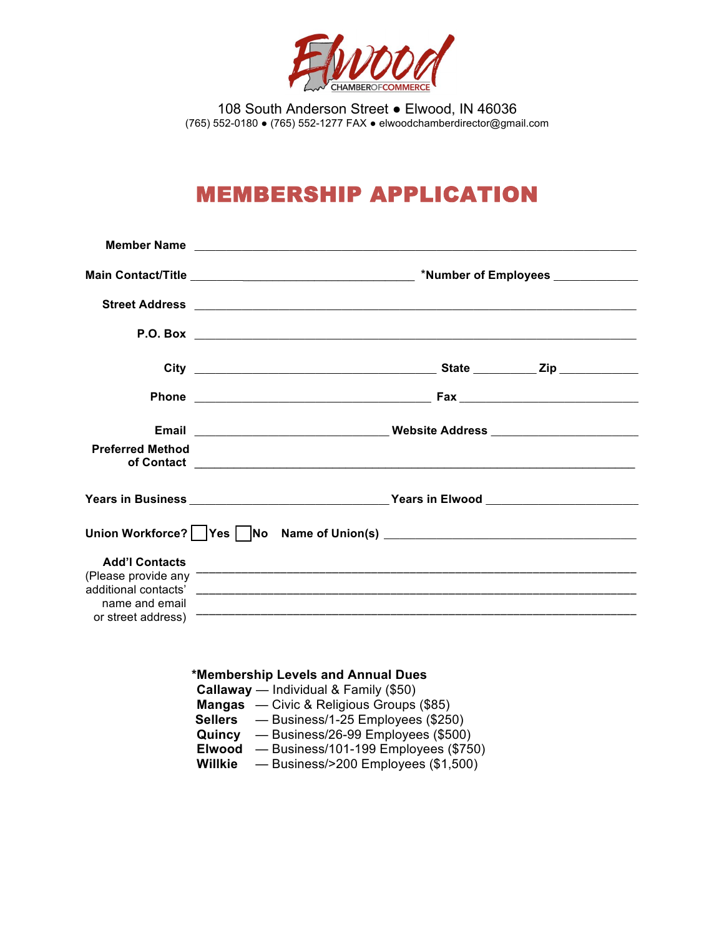

108 South Anderson Street ● Elwood, IN 46036 (765) 552-0180 ● (765) 552-1277 FAX ● elwoodchamberdirector@gmail.com

## MEMBERSHIP APPLICATION

| <b>Preferred Method</b>                 |                                                                                                                                                                                                                                                                         |  |  |  |  |  |
|-----------------------------------------|-------------------------------------------------------------------------------------------------------------------------------------------------------------------------------------------------------------------------------------------------------------------------|--|--|--|--|--|
|                                         | Years in Business _______________________________Years in Elwood ________________                                                                                                                                                                                       |  |  |  |  |  |
|                                         |                                                                                                                                                                                                                                                                         |  |  |  |  |  |
| <b>Add'l Contacts</b><br>name and email |                                                                                                                                                                                                                                                                         |  |  |  |  |  |
|                                         | *Membership Levels and Annual Dues<br>Callaway — Individual & Family (\$50)<br>Mangas — Civic & Religious Groups (\$85)<br><b>Sellers</b> — Business/1-25 Employees (\$250)<br>Quincy — Business/26-99 Employees (\$500)<br>Elwood - Business/101-199 Employees (\$750) |  |  |  |  |  |

**Willkie** — Business/>200 Employees (\$1,500)